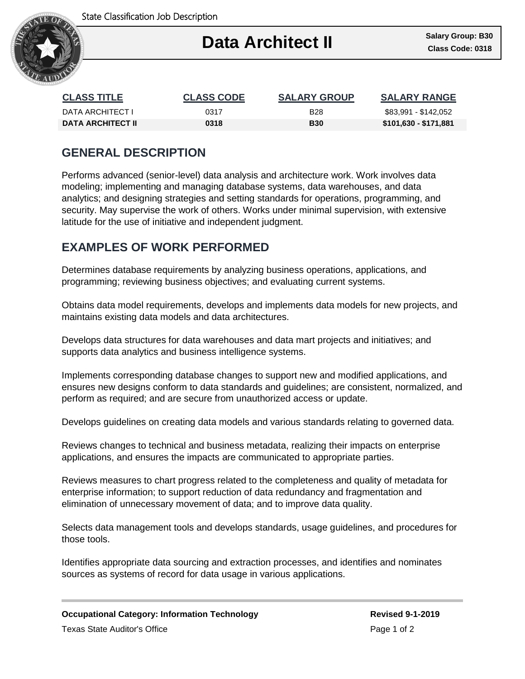

## Ι **Data Architect II Class Code: 0318**

| <b>CLASS TITLE</b>       | <b>CLASS CODE</b> | <b>SALARY GROUP</b> | <b>SALARY RANGE</b>   |
|--------------------------|-------------------|---------------------|-----------------------|
| DATA ARCHITECT I         | 0317              | <b>B28</b>          | \$83,991 - \$142,052  |
| <b>DATA ARCHITECT II</b> | 0318              | <b>B30</b>          | \$101,630 - \$171,881 |

## **GENERAL DESCRIPTION**

Performs advanced (senior-level) data analysis and architecture work. Work involves data modeling; implementing and managing database systems, data warehouses, and data analytics; and designing strategies and setting standards for operations, programming, and security. May supervise the work of others. Works under minimal supervision, with extensive latitude for the use of initiative and independent judgment.

## **EXAMPLES OF WORK PERFORMED**

Determines database requirements by analyzing business operations, applications, and programming; reviewing business objectives; and evaluating current systems.

Obtains data model requirements, develops and implements data models for new projects, and maintains existing data models and data architectures.

Develops data structures for data warehouses and data mart projects and initiatives; and supports data analytics and business intelligence systems.

Implements corresponding database changes to support new and modified applications, and ensures new designs conform to data standards and guidelines; are consistent, normalized, and perform as required; and are secure from unauthorized access or update.

Develops guidelines on creating data models and various standards relating to governed data.

Reviews changes to technical and business metadata, realizing their impacts on enterprise applications, and ensures the impacts are communicated to appropriate parties.

Reviews measures to chart progress related to the completeness and quality of metadata for enterprise information; to support reduction of data redundancy and fragmentation and elimination of unnecessary movement of data; and to improve data quality.

Selects data management tools and develops standards, usage guidelines, and procedures for those tools.

Identifies appropriate data sourcing and extraction processes, and identifies and nominates sources as systems of record for data usage in various applications.